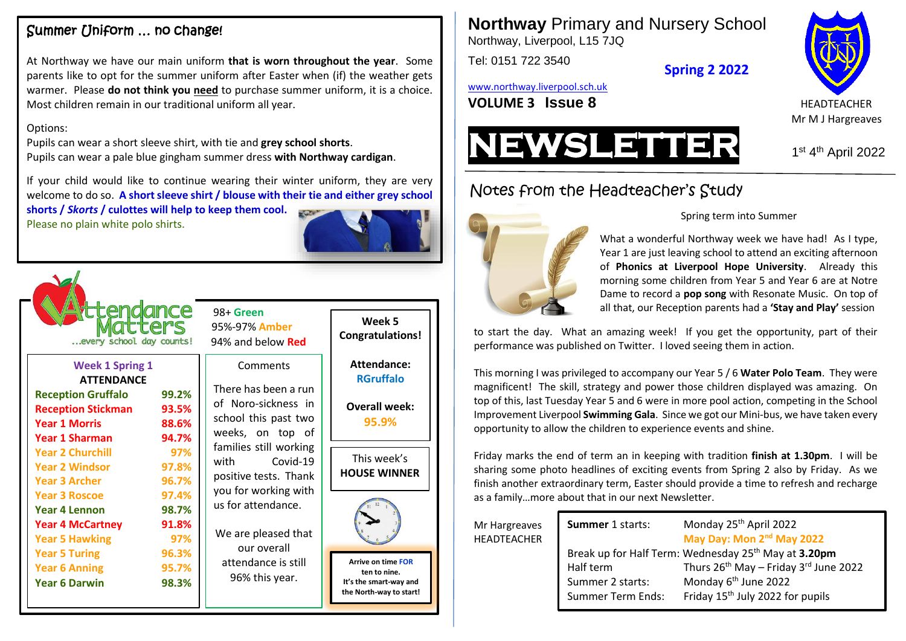## Summer Uniform … no change!

At Northway we have our main uniform **that is worn throughout the year**. Some parents like to opt for the summer uniform after Easter when (if) the weather gets warmer. Please **do not think you need** to purchase summer uniform, it is a choice. Most children remain in our traditional uniform all year.

#### Options:

Pupils can wear a short sleeve shirt, with tie and **grey school shorts**. Pupils can wear a pale blue gingham summer dress **with Northway cardigan**.

If your child would like to continue wearing their winter uniform, they are very welcome to do so. **A short sleeve shirt / blouse with their tie and either grey school** 

**shorts /** *Skorts* **/ culottes will help to keep them cool.** Please no plain white polo shirts.





**Year 4 Lennon 98.7% Year 4 McCartney 91.8% Year 5 Hawking 97% Year 5 Turing 96.3% Year 6 Anning 95.7%**

**Year 6 Darwin 98.3%**

 98+ **Green** 95%-97% **Amber**

### Comments

There has been a run of Noro-sickness in school this past two weeks, on top of families still working with Covid-19 positive tests. Thank you for working with us for attendance.

We are pleased that our overall attendance is still 96% this year.

**Attendance: RGruffalo Overall week: 95.9%**

**Week 5 Congratulations!**

This week's **HOUSE WINNER**



**Arrive on time FOR ten to nine. It's the smart-way and the North-way to start!** **Northway** Primary and Nursery School Northway, Liverpool, L15 7JQ

Tel: 0151 722 3540

**Spring 2 2022**

[www.northway.liverpool.sch.uk](http://www.northway.liverpool.sch.uk/)

**VOLUME 3 ISSUE 8** HEADTEACHER





<sup>st</sup> 4<sup>th</sup> April 2022

# Notes from the Headteacher's Study



Spring term into Summer

What a wonderful Northway week we have had! As I type, Year 1 are just leaving school to attend an exciting afternoon of **Phonics at Liverpool Hope University**. Already this morning some children from Year 5 and Year 6 are at Notre Dame to record a **pop song** with Resonate Music. On top of all that, our Reception parents had a **'Stay and Play'** session

to start the day. What an amazing week! If you get the opportunity, part of their performance was published on Twitter. I loved seeing them in action.

This morning I was privileged to accompany our Year 5 / 6 **Water Polo Team**. They were magnificent! The skill, strategy and power those children displayed was amazing. On top of this, last Tuesday Year 5 and 6 were in more pool action, competing in the School Improvement Liverpool **Swimming Gala**. Since we got our Mini-bus, we have taken every opportunity to allow the children to experience events and shine.

Friday marks the end of term an in keeping with tradition **finish at 1.30pm**. I will be sharing some photo headlines of exciting events from Spring 2 also by Friday. As we finish another extraordinary term, Easter should provide a time to refresh and recharge as a family…more about that in our next Newsletter.

Mr Hargreaves **HEADTEACHER** 

| Thurs $26^{th}$ May - Friday $3^{rd}$ June 2022 |
|-------------------------------------------------|
|                                                 |
|                                                 |
|                                                 |